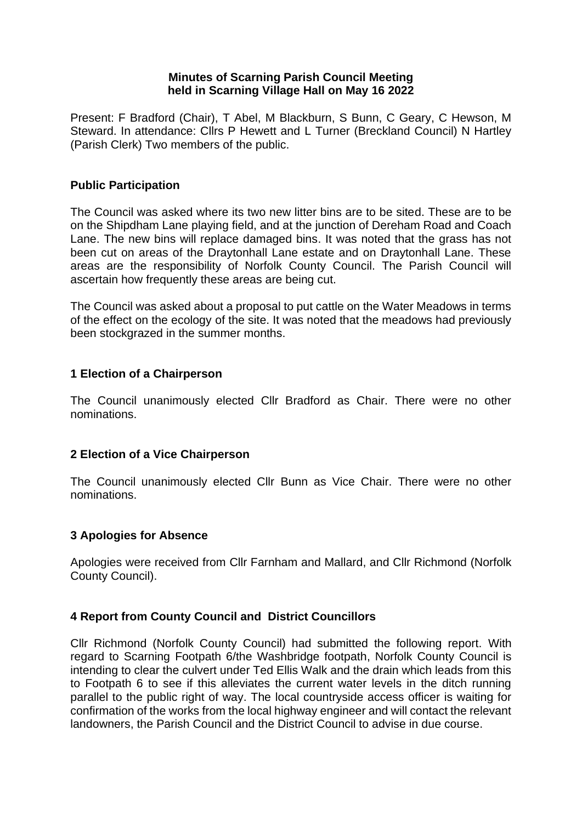## **Minutes of Scarning Parish Council Meeting held in Scarning Village Hall on May 16 2022**

Present: F Bradford (Chair), T Abel, M Blackburn, S Bunn, C Geary, C Hewson, M Steward. In attendance: Cllrs P Hewett and L Turner (Breckland Council) N Hartley (Parish Clerk) Two members of the public.

## **Public Participation**

The Council was asked where its two new litter bins are to be sited. These are to be on the Shipdham Lane playing field, and at the junction of Dereham Road and Coach Lane. The new bins will replace damaged bins. It was noted that the grass has not been cut on areas of the Draytonhall Lane estate and on Draytonhall Lane. These areas are the responsibility of Norfolk County Council. The Parish Council will ascertain how frequently these areas are being cut.

The Council was asked about a proposal to put cattle on the Water Meadows in terms of the effect on the ecology of the site. It was noted that the meadows had previously been stockgrazed in the summer months.

## **1 Election of a Chairperson**

The Council unanimously elected Cllr Bradford as Chair. There were no other nominations.

## **2 Election of a Vice Chairperson**

The Council unanimously elected Cllr Bunn as Vice Chair. There were no other nominations.

## **3 Apologies for Absence**

Apologies were received from Cllr Farnham and Mallard, and Cllr Richmond (Norfolk County Council).

# **4 Report from County Council and District Councillors**

Cllr Richmond (Norfolk County Council) had submitted the following report. With regard to Scarning Footpath 6/the Washbridge footpath, Norfolk County Council is intending to clear the culvert under Ted Ellis Walk and the drain which leads from this to Footpath 6 to see if this alleviates the current water levels in the ditch running parallel to the public right of way. The local countryside access officer is waiting for confirmation of the works from the local highway engineer and will contact the relevant landowners, the Parish Council and the District Council to advise in due course.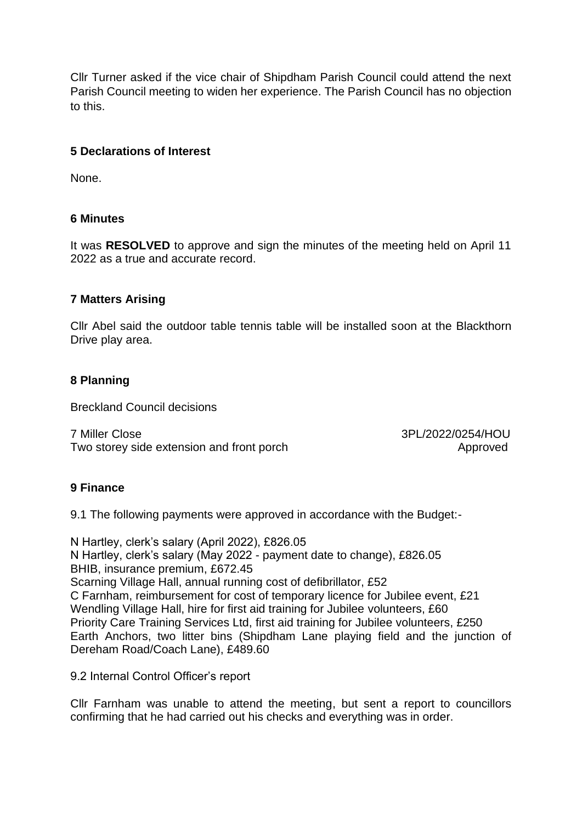Cllr Turner asked if the vice chair of Shipdham Parish Council could attend the next Parish Council meeting to widen her experience. The Parish Council has no objection to this.

## **5 Declarations of Interest**

None.

## **6 Minutes**

It was **RESOLVED** to approve and sign the minutes of the meeting held on April 11 2022 as a true and accurate record.

#### **7 Matters Arising**

Cllr Abel said the outdoor table tennis table will be installed soon at the Blackthorn Drive play area.

## **8 Planning**

Breckland Council decisions

7 Miller Close 3PL/2022/0254/HOU Two storey side extension and front porch Two storey approved

## **9 Finance**

9.1 The following payments were approved in accordance with the Budget:-

N Hartley, clerk's salary (April 2022), £826.05 N Hartley, clerk's salary (May 2022 - payment date to change), £826.05 BHIB, insurance premium, £672.45 Scarning Village Hall, annual running cost of defibrillator, £52 C Farnham, reimbursement for cost of temporary licence for Jubilee event, £21 Wendling Village Hall, hire for first aid training for Jubilee volunteers, £60 Priority Care Training Services Ltd, first aid training for Jubilee volunteers, £250 Earth Anchors, two litter bins (Shipdham Lane playing field and the junction of Dereham Road/Coach Lane), £489.60

9.2 Internal Control Officer's report

Cllr Farnham was unable to attend the meeting, but sent a report to councillors confirming that he had carried out his checks and everything was in order.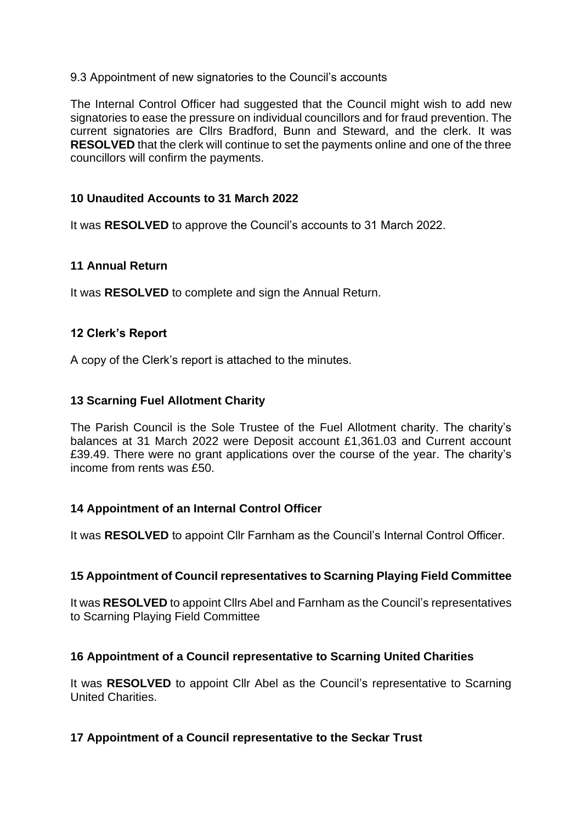## 9.3 Appointment of new signatories to the Council's accounts

The Internal Control Officer had suggested that the Council might wish to add new signatories to ease the pressure on individual councillors and for fraud prevention. The current signatories are Cllrs Bradford, Bunn and Steward, and the clerk. It was **RESOLVED** that the clerk will continue to set the payments online and one of the three councillors will confirm the payments.

## **10 Unaudited Accounts to 31 March 2022**

It was **RESOLVED** to approve the Council's accounts to 31 March 2022.

## **11 Annual Return**

It was **RESOLVED** to complete and sign the Annual Return.

## **12 Clerk's Report**

A copy of the Clerk's report is attached to the minutes.

## **13 Scarning Fuel Allotment Charity**

The Parish Council is the Sole Trustee of the Fuel Allotment charity. The charity's balances at 31 March 2022 were Deposit account £1,361.03 and Current account £39.49. There were no grant applications over the course of the year. The charity's income from rents was £50.

# **14 Appointment of an Internal Control Officer**

It was **RESOLVED** to appoint Cllr Farnham as the Council's Internal Control Officer.

## **15 Appointment of Council representatives to Scarning Playing Field Committee**

It was **RESOLVED** to appoint Cllrs Abel and Farnham as the Council's representatives to Scarning Playing Field Committee

## **16 Appointment of a Council representative to Scarning United Charities**

It was **RESOLVED** to appoint Cllr Abel as the Council's representative to Scarning United Charities.

## **17 Appointment of a Council representative to the Seckar Trust**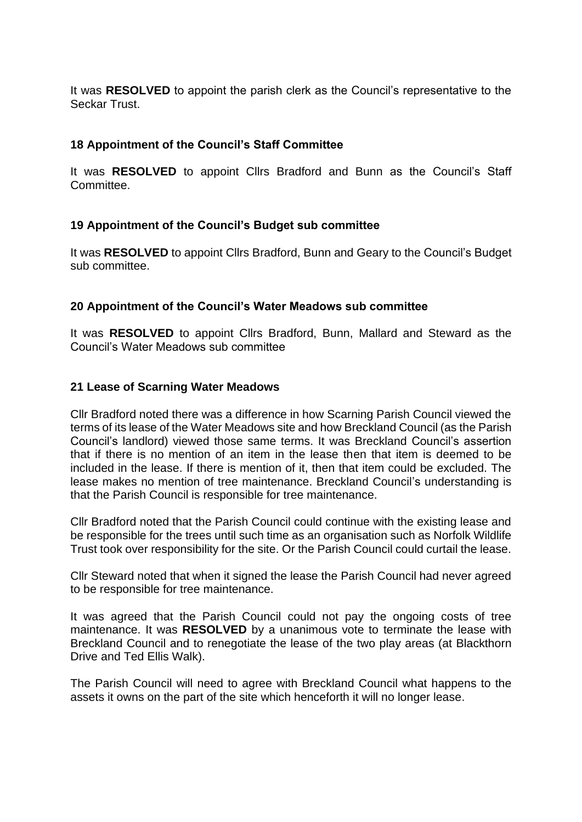It was **RESOLVED** to appoint the parish clerk as the Council's representative to the Seckar Trust.

## **18 Appointment of the Council's Staff Committee**

It was **RESOLVED** to appoint Cllrs Bradford and Bunn as the Council's Staff **Committee.** 

## **19 Appointment of the Council's Budget sub committee**

It was **RESOLVED** to appoint Cllrs Bradford, Bunn and Geary to the Council's Budget sub committee.

#### **20 Appointment of the Council's Water Meadows sub committee**

It was **RESOLVED** to appoint Cllrs Bradford, Bunn, Mallard and Steward as the Council's Water Meadows sub committee

#### **21 Lease of Scarning Water Meadows**

Cllr Bradford noted there was a difference in how Scarning Parish Council viewed the terms of its lease of the Water Meadows site and how Breckland Council (as the Parish Council's landlord) viewed those same terms. It was Breckland Council's assertion that if there is no mention of an item in the lease then that item is deemed to be included in the lease. If there is mention of it, then that item could be excluded. The lease makes no mention of tree maintenance. Breckland Council's understanding is that the Parish Council is responsible for tree maintenance.

Cllr Bradford noted that the Parish Council could continue with the existing lease and be responsible for the trees until such time as an organisation such as Norfolk Wildlife Trust took over responsibility for the site. Or the Parish Council could curtail the lease.

Cllr Steward noted that when it signed the lease the Parish Council had never agreed to be responsible for tree maintenance.

It was agreed that the Parish Council could not pay the ongoing costs of tree maintenance. It was **RESOLVED** by a unanimous vote to terminate the lease with Breckland Council and to renegotiate the lease of the two play areas (at Blackthorn Drive and Ted Ellis Walk).

The Parish Council will need to agree with Breckland Council what happens to the assets it owns on the part of the site which henceforth it will no longer lease.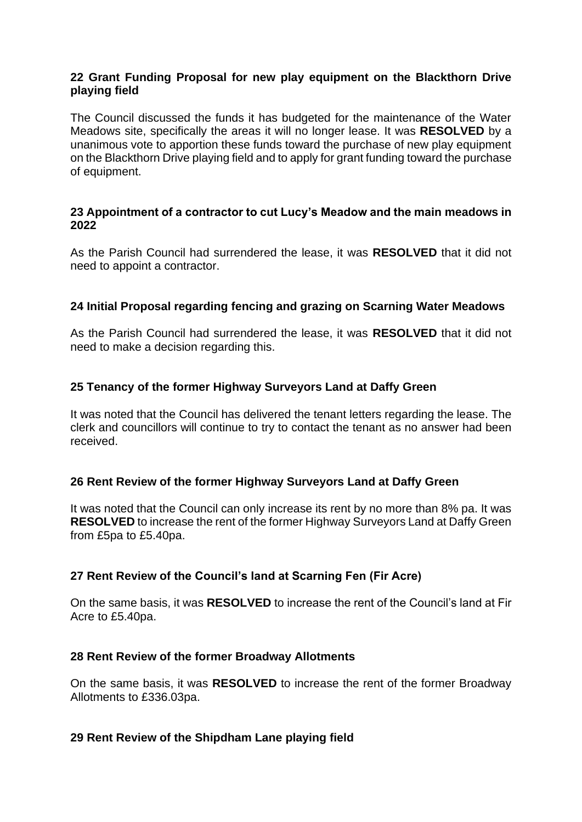## **22 Grant Funding Proposal for new play equipment on the Blackthorn Drive playing field**

The Council discussed the funds it has budgeted for the maintenance of the Water Meadows site, specifically the areas it will no longer lease. It was **RESOLVED** by a unanimous vote to apportion these funds toward the purchase of new play equipment on the Blackthorn Drive playing field and to apply for grant funding toward the purchase of equipment.

## **23 Appointment of a contractor to cut Lucy's Meadow and the main meadows in 2022**

As the Parish Council had surrendered the lease, it was **RESOLVED** that it did not need to appoint a contractor.

## **24 Initial Proposal regarding fencing and grazing on Scarning Water Meadows**

As the Parish Council had surrendered the lease, it was **RESOLVED** that it did not need to make a decision regarding this.

## **25 Tenancy of the former Highway Surveyors Land at Daffy Green**

It was noted that the Council has delivered the tenant letters regarding the lease. The clerk and councillors will continue to try to contact the tenant as no answer had been received.

## **26 Rent Review of the former Highway Surveyors Land at Daffy Green**

It was noted that the Council can only increase its rent by no more than 8% pa. It was **RESOLVED** to increase the rent of the former Highway Surveyors Land at Daffy Green from £5pa to £5.40pa.

## **27 Rent Review of the Council's land at Scarning Fen (Fir Acre)**

On the same basis, it was **RESOLVED** to increase the rent of the Council's land at Fir Acre to £5.40pa.

## **28 Rent Review of the former Broadway Allotments**

On the same basis, it was **RESOLVED** to increase the rent of the former Broadway Allotments to £336.03pa.

## **29 Rent Review of the Shipdham Lane playing field**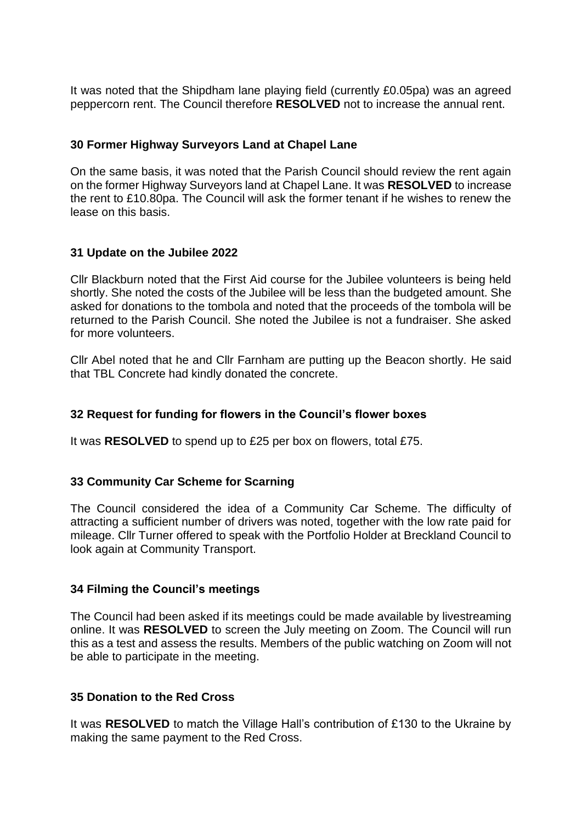It was noted that the Shipdham lane playing field (currently £0.05pa) was an agreed peppercorn rent. The Council therefore **RESOLVED** not to increase the annual rent.

## **30 Former Highway Surveyors Land at Chapel Lane**

On the same basis, it was noted that the Parish Council should review the rent again on the former Highway Surveyors land at Chapel Lane. It was **RESOLVED** to increase the rent to £10.80pa. The Council will ask the former tenant if he wishes to renew the lease on this basis.

## **31 Update on the Jubilee 2022**

Cllr Blackburn noted that the First Aid course for the Jubilee volunteers is being held shortly. She noted the costs of the Jubilee will be less than the budgeted amount. She asked for donations to the tombola and noted that the proceeds of the tombola will be returned to the Parish Council. She noted the Jubilee is not a fundraiser. She asked for more volunteers.

Cllr Abel noted that he and Cllr Farnham are putting up the Beacon shortly. He said that TBL Concrete had kindly donated the concrete.

## **32 Request for funding for flowers in the Council's flower boxes**

It was **RESOLVED** to spend up to £25 per box on flowers, total £75.

## **33 Community Car Scheme for Scarning**

The Council considered the idea of a Community Car Scheme. The difficulty of attracting a sufficient number of drivers was noted, together with the low rate paid for mileage. Cllr Turner offered to speak with the Portfolio Holder at Breckland Council to look again at Community Transport.

## **34 Filming the Council's meetings**

The Council had been asked if its meetings could be made available by livestreaming online. It was **RESOLVED** to screen the July meeting on Zoom. The Council will run this as a test and assess the results. Members of the public watching on Zoom will not be able to participate in the meeting.

## **35 Donation to the Red Cross**

It was **RESOLVED** to match the Village Hall's contribution of £130 to the Ukraine by making the same payment to the Red Cross.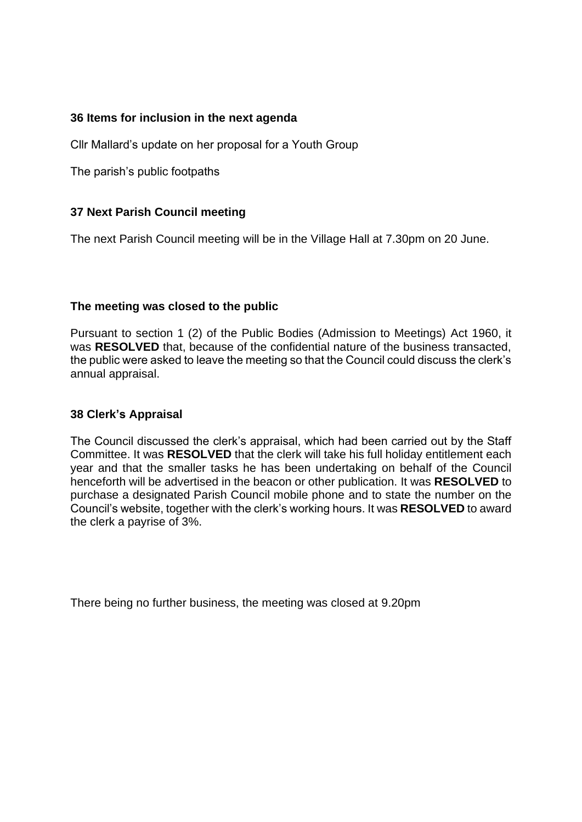## **36 Items for inclusion in the next agenda**

Cllr Mallard's update on her proposal for a Youth Group

The parish's public footpaths

# **37 Next Parish Council meeting**

The next Parish Council meeting will be in the Village Hall at 7.30pm on 20 June.

## **The meeting was closed to the public**

Pursuant to section 1 (2) of the Public Bodies (Admission to Meetings) Act 1960, it was **RESOLVED** that, because of the confidential nature of the business transacted, the public were asked to leave the meeting so that the Council could discuss the clerk's annual appraisal.

## **38 Clerk's Appraisal**

The Council discussed the clerk's appraisal, which had been carried out by the Staff Committee. It was **RESOLVED** that the clerk will take his full holiday entitlement each year and that the smaller tasks he has been undertaking on behalf of the Council henceforth will be advertised in the beacon or other publication. It was **RESOLVED** to purchase a designated Parish Council mobile phone and to state the number on the Council's website, together with the clerk's working hours. It was **RESOLVED** to award the clerk a payrise of 3%.

There being no further business, the meeting was closed at 9.20pm